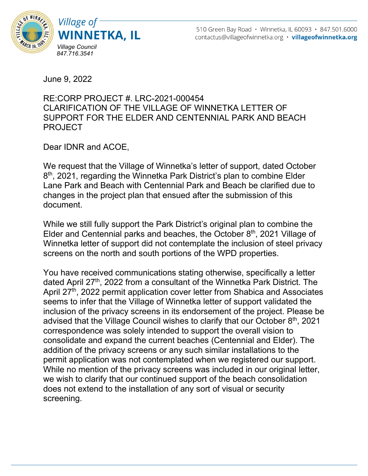



June 9, 2022

## RE:CORP PROJECT #. LRC-2021-000454 CLARIFICATION OF THE VILLAGE OF WINNETKA LETTER OF SUPPORT FOR THE ELDER AND CENTENNIAL PARK AND BEACH PROJECT

Dear IDNR and ACOE,

We request that the Village of Winnetka's letter of support, dated October 8<sup>th</sup>, 2021, regarding the Winnetka Park District's plan to combine Elder Lane Park and Beach with Centennial Park and Beach be clarified due to changes in the project plan that ensued after the submission of this document.

While we still fully support the Park District's original plan to combine the Elder and Centennial parks and beaches, the October  $8<sup>th</sup>$ , 2021 Village of Winnetka letter of support did not contemplate the inclusion of steel privacy screens on the north and south portions of the WPD properties.

You have received communications stating otherwise, specifically a letter dated April 27<sup>th</sup>, 2022 from a consultant of the Winnetka Park District. The April 27<sup>th</sup>, 2022 permit application cover letter from Shabica and Associates seems to infer that the Village of Winnetka letter of support validated the inclusion of the privacy screens in its endorsement of the project. Please be advised that the Village Council wishes to clarify that our October 8<sup>th</sup>, 2021 correspondence was solely intended to support the overall vision to consolidate and expand the current beaches (Centennial and Elder). The addition of the privacy screens or any such similar installations to the permit application was not contemplated when we registered our support. While no mention of the privacy screens was included in our original letter, we wish to clarify that our continued support of the beach consolidation does not extend to the installation of any sort of visual or security screening.